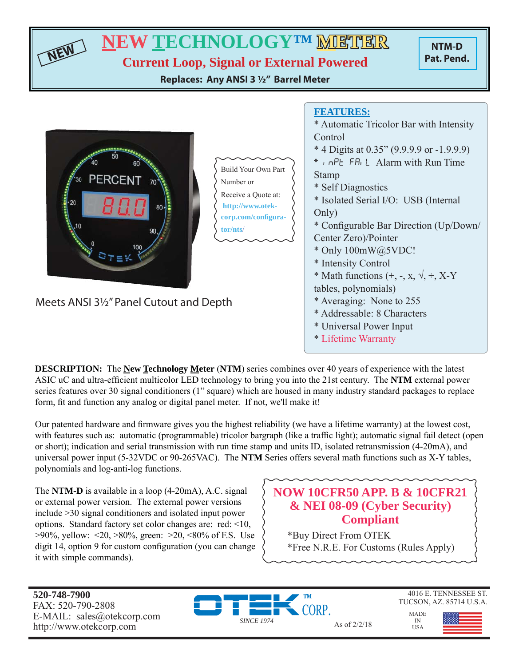| <b>NEW TECHNOLOGYTM MITTER</b><br>NTM-D<br>Pat. Pend.<br><b>Current Loop, Signal or External Powered</b><br>Replaces: Any ANSI 3 1/2" Barrel Meter |                                                                                                                                                                                                                                                                                                                                                                                                                                             |  |  |
|----------------------------------------------------------------------------------------------------------------------------------------------------|---------------------------------------------------------------------------------------------------------------------------------------------------------------------------------------------------------------------------------------------------------------------------------------------------------------------------------------------------------------------------------------------------------------------------------------------|--|--|
| <b>Build Your Own Part</b><br><b>PERCENT</b><br>Number or<br>Receive a Quote at:<br>20<br>http://www.otek-<br>corp.com/configura-<br>tor/nts/      | <b>FEATURES:</b><br>* Automatic Tricolor Bar with Intensity<br>Control<br>* 4 Digits at 0.35" (9.9.9.9 or -1.9.9.9)<br>* n nPt FRIL Alarm with Run Time<br><b>Stamp</b><br>* Self Diagnostics<br>* Isolated Serial I/O: USB (Internal<br>Only)<br>* Configurable Bar Direction (Up/Down/<br>Center Zero)/Pointer<br>* Only 100mW@5VDC!<br>* Intensity Control<br>* Math functions $(+, -, x, \sqrt{, \div, X} - Y)$<br>tables, polynomials) |  |  |
| Meets ANSI 3½" Panel Cutout and Depth                                                                                                              | * Averaging: None to 255<br>* Addressable: 8 Characters                                                                                                                                                                                                                                                                                                                                                                                     |  |  |

**DESCRIPTION:** The **New Technology Meter** (**NTM**) series combines over 40 years of experience with the latest ASIC uC and ultra-efficient multicolor LED technology to bring you into the 21st century. The **NTM** external power series features over 30 signal conditioners (1" square) which are housed in many industry standard packages to replace form, fit and function any analog or digital panel meter. If not, we'll make it!

Our patented hardware and firmware gives you the highest reliability (we have a lifetime warranty) at the lowest cost, with features such as: automatic (programmable) tricolor bargraph (like a traffic light); automatic signal fail detect (open or short); indication and serial transmission with run time stamp and units ID, isolated retransmission (4-20mA), and universal power input (5-32VDC or 90-265VAC). The **NTM** Series offers several math functions such as X-Y tables, polynomials and log-anti-log functions.

The **NTM-D** is available in a loop (4-20mA), A.C. signal or external power version. The external power versions include >30 signal conditioners and isolated input power options. Standard factory set color changes are: red: <10, >90%, yellow: <20, >80%, green: >20, <80% of F.S. Use digit 14, option 9 for custom configuration (you can change it with simple commands).

## **NOW 10CFR50 APP. B & 10CFR21 & NEI 08-09 (Cyber Security) Compliant**

\* Universal Power Input \* Lifetime Warranty

\*Buy Direct From OTEK \*Free N.R.E. For Customs (Rules Apply)

**520-748-7900** FAX: 520-790-2808 E-MAIL: sales@otekcorp.com



4016 E. TENNESSEE ST. TUCSON, AZ. 85714 U.S.A.

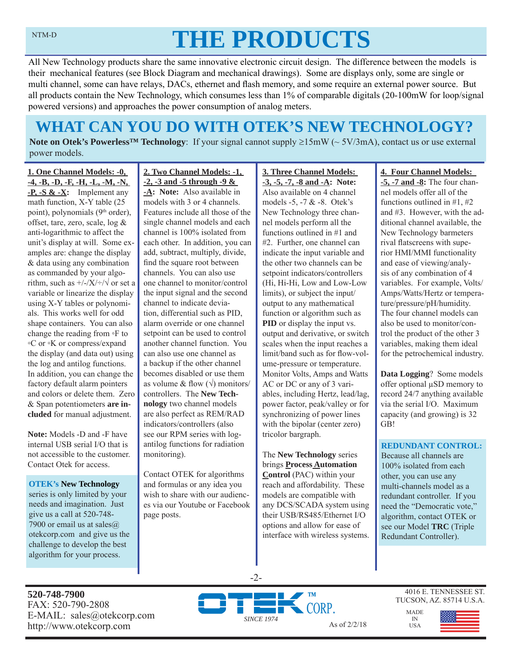# **THE PRODUCTS**

All New Technology products share the same innovative electronic circuit design. The difference between the models is their mechanical features (see Block Diagram and mechanical drawings). Some are displays only, some are single or multi channel, some can have relays, DACs, ethernet and flash memory, and some require an external power source. But all products contain the New Technology, which consumes less than 1% of comparable digitals (20-100mW for loop/signal powered versions) and approaches the power consumption of analog meters.

# **WHAT CAN YOU DO WITH OTEK'S NEW TECHNOLOGY?**

**Note on Otek's Powerless<sup>TM</sup> Technology**: If your signal cannot supply  $\geq 15 \text{mW}$  ( $\sim 5V/3 \text{mA}$ ), contact us or use external power models.

**1. One Channel Models: -0, -4, -B, -D, -F, -H, -L, -M, -N, -P, -S & -X:** Implement any math function, X-Y table (25 point), polynomials (9<sup>th</sup> order), offset, tare, zero, scale, log & anti-logarithmic to affect the unit's display at will. Some examples are: change the display & data using any combination as commanded by your algorithm, such as  $\frac{+}{-}\times\frac{+}{\sqrt{}}$  or set a variable or linearize the display using X-Y tables or polynomials. This works well for odd shape containers. You can also change the reading from ◦F to ◦C or ◦K or compress/expand the display (and data out) using the log and antilog functions. In addition, you can change the factory default alarm pointers and colors or delete them. Zero & Span potentiometers **are included** for manual adjustment.

**Note:** Models -D and -F have internal USB serial I/O that is not accessible to the customer. Contact Otek for access.

**OTEK's New Technology**  series is only limited by your needs and imagination. Just give us a call at 520-748- 7900 or email us at sales@ otekcorp.com and give us the challenge to develop the best algorithm for your process.

**2. Two Channel Models: -1, -2, -3 and -5 through -9 &** 

**-A: Note:** Also available in models with 3 or 4 channels. Features include all those of the single channel models and each channel is 100% isolated from each other. In addition, you can add, subtract, multiply, divide, find the square root between channels. You can also use one channel to monitor/control the input signal and the second channel to indicate deviation, differential such as PID, alarm override or one channel setpoint can be used to control another channel function. You can also use one channel as a backup if the other channel becomes disabled or use them as volume & flow  $(\sqrt{})$  monitors/ controllers. The **New Technology** two channel models are also perfect as REM/RAD indicators/controllers (also see our RPM series with logantilog functions for radiation monitoring).

Contact OTEK for algorithms and formulas or any idea you wish to share with our audiences via our Youtube or Facebook page posts.

**3. Three Channel Models: -3, -5, -7, -8 and -A: Note:**  Also available on 4 channel models -5, -7 & -8. Otek's New Technology three channel models perform all the functions outlined in #1 and #2. Further, one channel can indicate the input variable and the other two channels can be setpoint indicators/controllers (Hi, Hi-Hi, Low and Low-Low limits), or subject the input/ output to any mathematical function or algorithm such as **PID** or display the input vs. output and derivative, or switch scales when the input reaches a limit/band such as for flow-volume-pressure or temperature. Monitor Volts, Amps and Watts AC or DC or any of 3 variables, including Hertz, lead/lag, power factor, peak/valley or for synchronizing of power lines with the bipolar (center zero) tricolor bargraph.

The **New Technology** series brings **Process Automation Control** (PAC) within your reach and affordability. These models are compatible with any DCS/SCADA system using their USB/RS485/Ethernet I/O options and allow for ease of interface with wireless systems.

#### **4. Four Channel Models:**

**-5, -7 and -8:** The four channel models offer all of the functions outlined in #1, #2 and #3. However, with the additional channel available, the New Technology barmeters rival flatscreens with superior HMI/MMI functionality and ease of viewing/analysis of any combination of 4 variables. For example, Volts/ Amps/Watts/Hertz or temperature/pressure/pH/humidity. The four channel models can also be used to monitor/control the product of the other 3 variables, making them ideal for the petrochemical industry.

**Data Logging**? Some models offer optional μSD memory to record 24/7 anything available via the serial I/O. Maximum capacity (and growing) is 32 GB!

#### **REDUNDANT CONTROL:**

Because all channels are 100% isolated from each other, you can use any multi-channels model as a redundant controller. If you need the "Democratic vote," algorithm, contact OTEK or see our Model **TRC** (Triple Redundant Controller).

**520-748-7900** FAX: 520-790-2808 E-MAIL: sales@otekcorp.com



-2-

4016 E. TENNESSEE ST. TUCSON, AZ. 85714 U.S.A.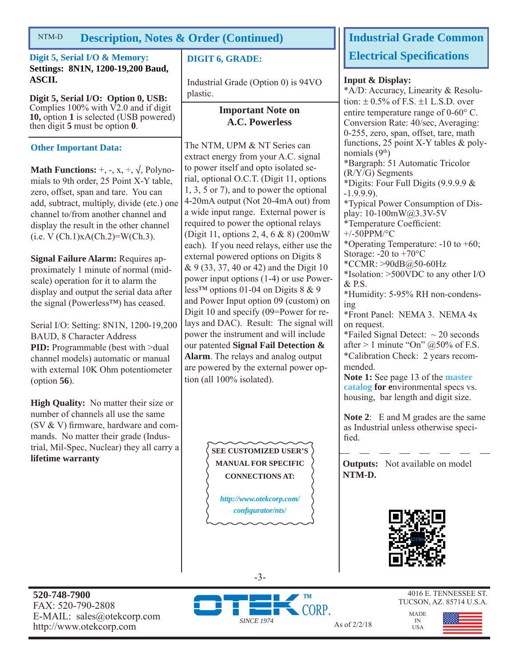#### **Description, Notes & Order (Continued)** NTM-D

**Digit 5, Serial I/O & Memory: Settings: 8N1N, 1200-19,200 Baud, ASCII.**

**Digit 5, Serial I/O: Option 0, USB:**  Complies  $100\%$  with  $\overline{V2.0}$  and if digit **10,** option **1** is selected (USB powered) then digit **5** must be option **0**.

## **Other Important Data:**

**Math Functions:**  $+$ ,  $-$ ,  $x$ ,  $\div$ ,  $\sqrt{}$ , Polynomials to 9th order, 25 Point X-Y table, zero, offset, span and tare. You can add, subtract, multiply, divide (etc.) one channel to/from another channel and display the result in the other channel  $(i.e. V (Ch.1)xA(Ch.2)=W(Ch.3).$ 

**Signal Failure Alarm:** Requires approximately 1 minute of normal (midscale) operation for it to alarm the display and output the serial data after the signal (Powerless™) has ceased.

Serial I/O: Setting: 8N1N, 1200-19,200 BAUD, 8 Character Address **PID:** Programmable (best with  $>$ dual channel models) automatic or manual with external 10K Ohm potentiometer (option **56**).

**High Quality:** No matter their size or number of channels all use the same (SV  $&$  V) firmware, hardware and commands. No matter their grade (Industrial, Mil-Spec, Nuclear) they all carry a **lifetime warranty**

## **DIGIT 6, GRADE:**

Industrial Grade (Option 0) is 94VO plastic.

### **Important Note on A.C. Powerless**

The NTM, UPM & NT Series can extract energy from your A.C. signal to power itself and opto isolated serial, optional O.C.T. (Digit 11, options 1, 3, 5 or 7), and to power the optional 4-20mA output (Not 20-4mA out) from a wide input range. External power is required to power the optional relays (Digit 11, options 2, 4, 6 & 8) (200mW each). If you need relays, either use the external powered options on Digits 8 & 9 (33, 37, 40 or 42) and the Digit 10 power input options (1-4) or use Powerless<sup>™</sup> options 01-04 on Digits  $8 \& 9$ and Power Input option 09 (custom) on Digit 10 and specify (09=Power for relays and DAC). Result: The signal will power the instrument and will include our patented **Signal Fail Detection & Alarm**. The relays and analog output are powered by the external power option (all 100% isolated).

> **SEE CUSTOMIZED USER'S MANUAL FOR SPECIFIC CONNECTIONS AT:**

*http://www.otekcorp.com/ confi gurator/nts/*

## **Industrial Grade Common Electrical Specifi cations**

#### **Input & Display:**

\*A/D: Accuracy, Linearity & Resolution:  $\pm$  0.5% of F.S.  $\pm$ 1 L.S.D. over entire temperature range of  $0\n-60^{\circ}$  C. Conversion Rate: 40/sec, Averaging: 0-255, zero, span, offset, tare, math functions, 25 point X-Y tables & polynomials  $(9<sup>th</sup>)$ \*Bargraph: 51 Automatic Tricolor (R/Y/G) Segments \*Digits: Four Full Digits (9.9.9.9 & -1.9.9.9). \*Typical Power Consumption of Display: 10-100mW@3.3V-5V \*Temperature Coefficient:  $+/-50$ PPM/°C \*Operating Temperature: -10 to +60; Storage: -20 to +70°C \*CCMR: >90dB@50-60Hz \*Isolation: >500VDC to any other I/O  $&$  P.S. \*Humidity: 5-95% RH non-condensing \*Front Panel: NEMA 3. NEMA 4x on request. \*Failed Signal Detect:  $\sim$  20 seconds after  $> 1$  minute "On"  $@50\%$  of F.S. \*Calibration Check: 2 years recommended. **Note 1:** See page 13 of the **master catalog for e**nvironmental specs vs. housing, bar length and digit size. **Note 2**: E and M grades are the same

as Industrial unless otherwise specified.

**Outputs:** Not available on model **NTM-D.**



MADE IN USA

**520-748-7900** FAX: 520-790-2808 E-MAIL: sales@otekcorp.com http://www.otekcorp.com As of 2/2/18



-3-

4016 E. TENNESSEE ST. TUCSON, AZ. 85714 U.S.A.

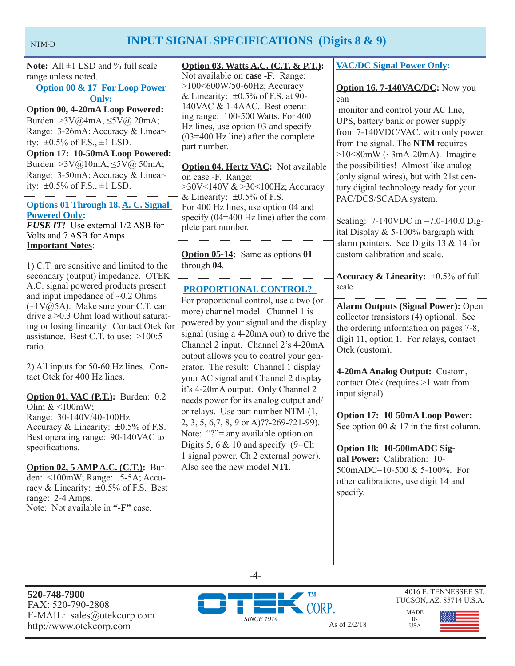## NTM-D **INPUT SIGNAL SPECIFICATIONS (Digits 8 & 9)**

**Note:** All ±1 LSD and % full scale range unless noted.

## **Option 00 & 17 For Loop Power Only:**

**Option 00, 4-20mA Loop Powered:**  Burden: >3V@4mA, ≤5V@ 20mA; Range: 3-26mA; Accuracy & Linearity:  $\pm 0.5\%$  of F.S.,  $\pm 1$  LSD. **Option 17: 10-50mA Loop Powered:**  Burden: >3V@10mA, ≤5V@ 50mA; Range: 3-50mA; Accuracy & Linearity:  $\pm 0.5\%$  of F.S.,  $\pm 1$  LSD.

**Options 01 Through 18, A. C. Signal Powered Only:** *FUSE IT!* Use external 1/2 ASB for Volts and 7 ASB for Amps. **Important Notes**:

1) C.T. are sensitive and limited to the secondary (output) impedance. OTEK A.C. signal powered products present and input impedance of  $\sim 0.2$  Ohms  $(\sim 1 \text{V}(\bar{\omega})$ 5A). Make sure your C.T. can drive a >0.3 Ohm load without saturating or losing linearity. Contact Otek for assistance. Best C.T. to use: >100:5 ratio.

2) All inputs for 50-60 Hz lines. Contact Otek for 400 Hz lines.

**Option 01, VAC (P.T.):** Burden: 0.2 Ohm  $<100$ mW; Range: 30-140V/40-100Hz Accuracy & Linearity:  $\pm 0.5\%$  of F.S. Best operating range: 90-140VAC to specifications.

**Option 02, 5 AMP A.C. (C.T.):** Burden: <100mW; Range: .5-5A; Accuracy & Linearity:  $\pm 0.5\%$  of F.S. Best range: 2-4 Amps. Note: Not available in **"-F"** case.

**Option 03, Watts A.C. (C.T. & P.T.):** Not available on **case -F**. Range: >100<600W/50-60Hz; Accuracy & Linearity:  $\pm 0.5\%$  of F.S. at 90-140VAC & 1-4AAC. Best operating range: 100-500 Watts. For 400 Hz lines, use option 03 and specify (03=400 Hz line) after the complete part number.

**Option 04, Hertz VAC:** Not available on case -F. Range: >30V<140V & >30<100Hz; Accuracy & Linearity:  $\pm 0.5\%$  of F.S. For 400 Hz lines, use option 04 and specify (04=400 Hz line) after the complete part number.

**Option 05-14:** Same as options **01** through **04**.

## **PROPORTIONAL CONTROL?**

For proportional control, use a two (or more) channel model. Channel 1 is powered by your signal and the display signal (using a 4-20mA out) to drive the Channel 2 input. Channel 2's 4-20mA output allows you to control your generator. The result: Channel 1 display your AC signal and Channel 2 display it's 4-20mA output. Only Channel 2 needs power for its analog output and/ or relays. Use part number NTM-(1, 2, 3, 5, 6,7, 8, 9 or A)??-269-?21-99). Note: "?"= any available option on Digits 5, 6  $& 10$  and specify (9=Ch) 1 signal power, Ch 2 external power). Also see the new model **NTI**.

### **VAC/DC Signal Power Only:**

#### **Option 16, 7-140VAC/DC:** Now you can

 monitor and control your AC line, UPS, battery bank or power supply from 7-140VDC/VAC, with only power from the signal. The **NTM** requires  $>10<80$ mW ( $\sim$ 3mA-20mA). Imagine the possibilities! Almost like analog (only signal wires), but with 21st century digital technology ready for your PAC/DCS/SCADA system.

Scaling: 7-140VDC in =7.0-140.0 Digital Display & 5-100% bargraph with alarm pointers. See Digits 13 & 14 for custom calibration and scale.

**Accuracy & Linearity:**  $\pm 0.5\%$  of full scale.

**Alarm Outputs (Signal Power):** Open collector transistors (4) optional. See the ordering information on pages 7-8, digit 11, option 1. For relays, contact Otek (custom).

**4-20mA Analog Output:** Custom, contact Otek (requires >1 watt from input signal).

**Option 17: 10-50mA Loop Power:**  See option 00  $& 17$  in the first column.

**Option 18: 10-500mADC Signal Power:** Calibration: 10- 500mADC=10-500 & 5-100%. For other calibrations, use digit 14 and specify.

 $-4-$ 

**520-748-7900** FAX: 520-790-2808 E-MAIL: sales@otekcorp.com



4016 E. TENNESSEE ST. TUCSON, AZ. 85714 U.S.A.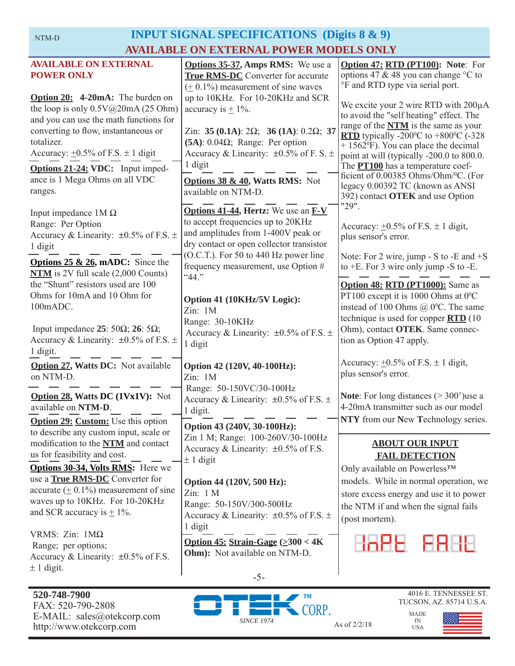## **INPUT SIGNAL SPECIFICATIONS (Digits 8 & 9) AVAILABLE ON EXTERNAL POWER MODELS ONLY**

| <b>AVAILABLE ON EXTERNAL</b><br><b>POWER ONLY</b>                                                                                                                                                                                                                  | <b>Options 35-37, Amps RMS:</b> We use a<br><b>True RMS-DC</b> Converter for accurate                                                                                                                                                                                      | Option 47: RTD (PT100): Note: For<br>options 47 & 48 you can change $\degree$ C to<br>°F and RTD type via serial port.                                                                                                                                                                                                                          |
|--------------------------------------------------------------------------------------------------------------------------------------------------------------------------------------------------------------------------------------------------------------------|----------------------------------------------------------------------------------------------------------------------------------------------------------------------------------------------------------------------------------------------------------------------------|-------------------------------------------------------------------------------------------------------------------------------------------------------------------------------------------------------------------------------------------------------------------------------------------------------------------------------------------------|
| Option 20: 4-20mA: The burden on<br>the loop is only $0.5V@20mA(25 Ohm)$<br>and you can use the math functions for<br>converting to flow, instantaneous or<br>totalizer.<br>Accuracy: $\pm 0.5\%$ of F.S. $\pm$ 1 digit<br><b>Options 21-24: VDC:</b> Input imped- | $(± 0.1\%)$ measurement of sine waves<br>up to 10KHz. For 10-20KHz and SCR<br>accuracy is $\pm$ 1%.<br>Zin: 35 (0.1A): $2\Omega$ ; 36 (1A): 0.2 $\Omega$ ; 37<br>$(5A)$ : 0.04 $\Omega$ ; Range: Per option<br>Accuracy & Linearity: $\pm 0.5\%$ of F. S. $\pm$<br>1 digit | We excite your 2 wire RTD with $200\mu A$<br>to avoid the "self heating" effect. The<br>range of the <b>NTM</b> is the same as your<br>RTD typically -200 $\degree$ C to +800 $\degree$ C (-328<br>$+ 1562$ <sup>o</sup> F). You can place the decimal<br>point at will (typically -200.0 to 800.0.<br>The <b>PT100</b> has a temperature coef- |
| ance is 1 Mega Ohms on all VDC<br>ranges.                                                                                                                                                                                                                          | <b>Options 38 &amp; 40, Watts RMS:</b> Not<br>available on NTM-D.                                                                                                                                                                                                          | ficient of 0.00385 Ohms/Ohm/°C. (For<br>legacy 0.00392 TC (known as ANSI<br>392) contact OTEK and use Option<br>"29".                                                                                                                                                                                                                           |
| Input impedance $1M\Omega$<br>Range: Per Option<br>Accuracy & Linearity: $\pm 0.5\%$ of F.S. $\pm$<br>1 digit                                                                                                                                                      | <b>Options 41-44, Hertz:</b> We use an <b>F-V</b><br>to accept frequencies up to 20KHz<br>and amplitudes from 1-400V peak or<br>dry contact or open collector transistor<br>(O.C.T.). For 50 to 440 Hz power line                                                          | Accuracy: $\pm 0.5\%$ of F.S. $\pm$ 1 digit,<br>plus sensor's error.                                                                                                                                                                                                                                                                            |
| <b>Options 25 &amp; 26, mADC:</b> Since the<br>$NTM$ is 2V full scale $(2,000$ Counts)                                                                                                                                                                             | frequency measurement, use Option #<br>"44."                                                                                                                                                                                                                               | Note: For 2 wire, jump - S to -E and $+S$<br>to $+E$ . For 3 wire only jump $-S$ to $-E$ .                                                                                                                                                                                                                                                      |
| the "Shunt" resistors used are 100<br>Ohms for 10mA and 10 Ohm for<br>100mADC.                                                                                                                                                                                     | Option 41 (10KHz/5V Logic):<br>Zin: 1M<br>Range: 30-10KHz                                                                                                                                                                                                                  | Option 48: RTD (PT1000): Same as<br>PT100 except it is 1000 Ohms at $0^{\circ}$ C<br>instead of 100 Ohms $\omega$ 0°C. The same<br>technique is used for copper $\overline{RTD}$ (10                                                                                                                                                            |
| Input impedance 25: 50 $\Omega$ ; 26: 5 $\Omega$ ;<br>Accuracy & Linearity: $\pm 0.5\%$ of F.S. $\pm$<br>1 digit.                                                                                                                                                  | Accuracy & Linearity: $\pm 0.5\%$ of F.S. $\pm$<br>1 digit                                                                                                                                                                                                                 | Ohm), contact OTEK. Same connec-<br>tion as Option 47 apply.                                                                                                                                                                                                                                                                                    |
| <b>Option 27, Watts DC:</b> Not available<br>on NTM-D.                                                                                                                                                                                                             | Option 42 (120V, 40-100Hz):<br>Zin: 1M<br>Range: 50-150VC/30-100Hz                                                                                                                                                                                                         | Accuracy: $\pm 0.5\%$ of F.S. $\pm$ 1 digit,<br>plus sensor's error.                                                                                                                                                                                                                                                                            |
| <b>Option 28, Watts DC (1Vx1V):</b> Not<br>available on NTM-D.                                                                                                                                                                                                     | Accuracy & Linearity: $\pm 0.5\%$ of F.S. $\pm$<br>1 digit.                                                                                                                                                                                                                | <b>Note:</b> For long distances $(>300)$ use a<br>4-20mA transmitter such as our model<br>NTY from our New Technology series.                                                                                                                                                                                                                   |
| <b>Option 29: Custom:</b> Use this option<br>to describe any custom input, scale or<br>modification to the NTM and contact<br>us for feasibility and cost.<br>Options 30-34, Volts RMS: Here we                                                                    | Option 43 (240V, 30-100Hz):<br>Zin 1 M; Range: 100-260V/30-100Hz<br>Accuracy & Linearity: $\pm 0.5\%$ of F.S.<br>$\pm$ 1 digit                                                                                                                                             | <b>ABOUT OUR INPUT</b><br><b>FAIL DETECTION</b><br>Only available on Powerless™                                                                                                                                                                                                                                                                 |
| use a <b>True RMS-DC</b> Converter for<br>accurate $(± 0.1\%)$ measurement of sine<br>waves up to 10KHz. For 10-20KHz<br>and SCR accuracy is $\pm$ 1%.                                                                                                             | Option 44 (120V, 500 Hz):<br>Zin: 1 M<br>Range: 50-150V/300-500Hz<br>Accuracy & Linearity: $\pm 0.5\%$ of F.S. $\pm$<br>1 digit                                                                                                                                            | models. While in normal operation, we<br>store excess energy and use it to power<br>the NTM if and when the signal fails<br>(post mortem).                                                                                                                                                                                                      |
| VRMS: $Zin$ : $1M\Omega$<br>Range; per options;<br>Accuracy & Linearity: $\pm 0.5\%$ of F.S.<br>$\pm$ 1 digit.                                                                                                                                                     | Option 45: Strain-Gage $(\geq 300 < 4K)$<br>Ohm): Not available on NTM-D.                                                                                                                                                                                                  | HAPE FRHL                                                                                                                                                                                                                                                                                                                                       |
|                                                                                                                                                                                                                                                                    | $-5-$                                                                                                                                                                                                                                                                      |                                                                                                                                                                                                                                                                                                                                                 |

**520-748-7900** FAX: 520-790-2808 E-MAIL: sales@otekcorp.com http://www.otekcorp.com As of 2/2/18



IN USA

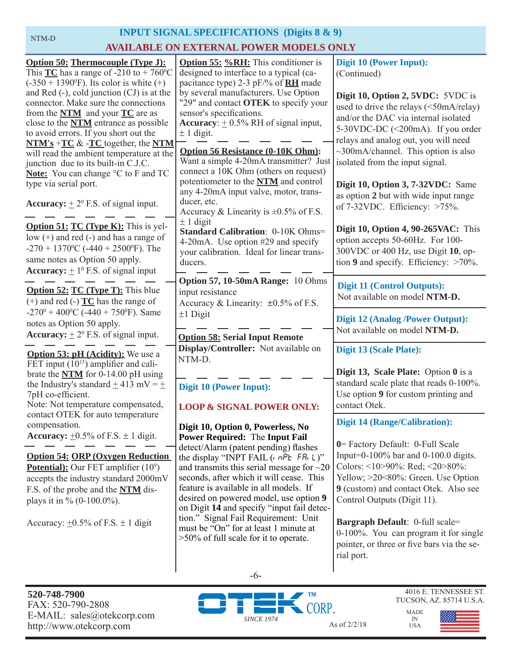NTM-D

## **INPUT SIGNAL SPECIFICATIONS (Digits 8 & 9)**

## **AVAILABLE ON EXTERNAL POWER MODELS ONLY**

| <b>Option 50: Thermocouple (Type J):</b><br>This $TC$ has a range of -210 to + 760 <sup>o</sup> C | <b>Option 55: %RH:</b> This conditioner is<br>designed to interface to a typical (ca- | <b>Digit 10 (Power Input):</b><br>(Continued)                             |
|---------------------------------------------------------------------------------------------------|---------------------------------------------------------------------------------------|---------------------------------------------------------------------------|
| $(-350 + 1390^{\circ}F)$ . Its color is white $(+)$                                               | pacitance type) 2-3 pF/% of <b>RH</b> made                                            |                                                                           |
| and Red $(-)$ , cold junction $(CJ)$ is at the                                                    | by several manufacturers. Use Option                                                  |                                                                           |
| connector. Make sure the connections                                                              | "29" and contact OTEK to specify your                                                 | Digit 10, Option 2, 5VDC: 5VDC is                                         |
| from the $NTM$ and your $TC$ are as                                                               | sensor's specifications.                                                              | used to drive the relays (<50mA/relay)                                    |
| close to the <b>NTM</b> entrance as possible                                                      | <b>Accuracy</b> : $\pm$ 0.5% RH of signal input,                                      | and/or the DAC via internal isolated                                      |
| to avoid errors. If you short out the                                                             | $\pm$ 1 digit.                                                                        | 5-30VDC-DC (<200mA). If you order                                         |
| $NTM's + TC & -TC$ together, the NTM                                                              |                                                                                       | relays and analog out, you will need                                      |
| will read the ambient temperature at the                                                          | <b>Option 56 Resistance (0-10K Ohm):</b>                                              | $\sim$ 300mA/channel. This option is also                                 |
| junction due to its built-in C.J.C.                                                               | Want a simple 4-20mA transmitter? Just                                                | isolated from the input signal.                                           |
| Note: You can change °C to F and TC                                                               | connect a 10K Ohm (others on request)                                                 |                                                                           |
| type via serial port.                                                                             | potentiometer to the NTM and control                                                  | Digit 10, Option 3, 7-32VDC: Same                                         |
|                                                                                                   | any 4-20mA input valve, motor, trans-                                                 | as option 2 but with wide input range                                     |
| <b>Accuracy:</b> $\pm 2^0$ F.S. of signal input.                                                  | ducer, etc.                                                                           | of $7-32$ VDC. Efficiency: $>75\%$ .                                      |
|                                                                                                   | Accuracy & Linearity is $\pm 0.5\%$ of F.S.                                           |                                                                           |
| <b>Option 51: TC (Type K):</b> This is yel-                                                       | $\pm$ 1 digit                                                                         | <b>Digit 10, Option 4, 90-265VAC:</b> This                                |
| low $(+)$ and red $(-)$ and has a range of                                                        | <b>Standard Calibration: 0-10K Ohms=</b>                                              |                                                                           |
| $-270 + 1370$ <sup>o</sup> C ( $-440 + 2500$ <sup>o</sup> F). The                                 | 4-20mA. Use option #29 and specify                                                    | option accepts 50-60Hz. For 100-                                          |
| same notes as Option 50 apply.                                                                    | your calibration. Ideal for linear trans-                                             | 300VDC or 400 Hz, use Digit 10, op-                                       |
| <b>Accuracy:</b> $\pm 1^0$ F.S. of signal input                                                   | ducers.                                                                               | tion 9 and specify. Efficiency: $>70\%$ .                                 |
|                                                                                                   | Option 57, 10-50mA Range: 10 Ohms                                                     |                                                                           |
| <b>Option 52: TC (Type T):</b> This blue                                                          | input resistance                                                                      | <b>Digit 11 (Control Outputs):</b>                                        |
| $(+)$ and red $(-)$ <b>TC</b> has the range of                                                    | Accuracy & Linearity: $\pm 0.5\%$ of F.S.                                             | Not available on model NTM-D.                                             |
| $-270^{\circ} + 400^{\circ}$ C ( $-440 + 750^{\circ}$ F). Same                                    | $±1$ Digit                                                                            |                                                                           |
| notes as Option 50 apply.                                                                         |                                                                                       | <b>Digit 12 (Analog /Power Output):</b>                                   |
| <b>Accuracy:</b> $\pm 2^0$ F.S. of signal input.                                                  |                                                                                       | Not available on model NTM-D.                                             |
|                                                                                                   | <b>Option 58: Serial Input Remote</b>                                                 |                                                                           |
| <b>Option 53: pH (Acidity):</b> We use a                                                          | Display/Controller: Not available on                                                  | <b>Digit 13 (Scale Plate):</b>                                            |
| FET input $(10^{15})$ amplifier and cali-                                                         | NTM-D.                                                                                |                                                                           |
| brate the $NTM$ for 0-14.00 pH using                                                              |                                                                                       | Digit 13, Scale Plate: Option 0 is a                                      |
| the Industry's standard $\pm$ 413 mV = $\pm$                                                      | Digit 10 (Power Input):                                                               | standard scale plate that reads 0-100%.                                   |
| 7pH co-efficient.                                                                                 |                                                                                       | Use option 9 for custom printing and                                      |
| Note: Not temperature compensated,                                                                | <b>LOOP &amp; SIGNAL POWER ONLY:</b>                                                  | contact Otek.                                                             |
| contact OTEK for auto temperature                                                                 |                                                                                       | <b>Digit 14 (Range/Calibration):</b>                                      |
| compensation.                                                                                     | Digit 10, Option 0, Powerless, No                                                     |                                                                           |
| <b>Accuracy:</b> $\pm 0.5\%$ of F.S. $\pm 1$ digit.                                               | <b>Power Required: The Input Fail</b>                                                 |                                                                           |
|                                                                                                   | detect/Alarm (patent pending) flashes                                                 | 0 = Factory Default: 0-Full Scale<br>Input=0-100% bar and 0-100.0 digits. |
| <b>Option 54: ORP (Oxygen Reduction)</b>                                                          | the display "INPT FAIL $(n \cap P_E \cap F_n   L)$ "                                  | Colors: <10>90%: Red; <20>80%:                                            |
| Potential): Our FET amplifier (10 <sup>9</sup> )                                                  | and transmits this serial message for $\sim$ 20                                       |                                                                           |
| accepts the industry standard 2000mV                                                              | seconds, after which it will cease. This                                              | Yellow; >20<80%: Green. Use Option                                        |
| F.S. of the probe and the <b>NTM</b> dis-                                                         | feature is available in all models. If                                                | 9 (custom) and contact Otek. Also see                                     |
| plays it in % $(0-100.0\%)$ .                                                                     | desired on powered model, use option 9<br>on Digit 14 and specify "input fail detec-  | Control Outputs (Digit 11).                                               |
|                                                                                                   | tion." Signal Fail Requirement: Unit                                                  |                                                                           |
| Accuracy: $\pm 0.5\%$ of F.S. $\pm$ 1 digit                                                       | must be "On" for at least 1 minute at                                                 | Bargraph Default: 0-full scale=                                           |
|                                                                                                   | >50% of full scale for it to operate.                                                 | 0-100%. You can program it for single                                     |
|                                                                                                   |                                                                                       | pointer, or three or five bars via the se-                                |
|                                                                                                   |                                                                                       | rial port.                                                                |
|                                                                                                   |                                                                                       |                                                                           |



-6-

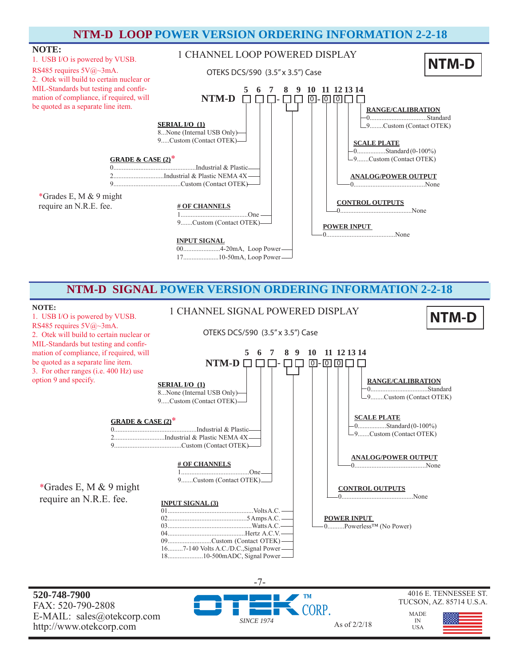## **NTM-D LOOP POWER VERSION ORDERING INFORMATION 2-2-18**



## **NTM-D SIGNAL POWER VERSION ORDERING INFORMATION 2-2-18**

1 CHANNEL SIGNAL POWERED DISPLAY

OTEKS DCS/590 (3.5" x 3.5") Case

#### **NOTE:**

1. USB I/O is powered by VUSB. RS485 requires 5V@~3mA. 2. Otek will build to certain nuclear or MIL-Standards but testing and confirmation of compliance, if required, will be quoted as a separate line item. 3. For other ranges (i.e. 400 Hz) use option 9 and specify.



**520-748-7900** FAX: 520-790-2808 E-MAIL: sales@otekcorp.com http://www.otekcorp.com As of 2/2/18

*SINCE 1974* -7-

18.....................10-500mADC, Signal Power



**NTM-D**

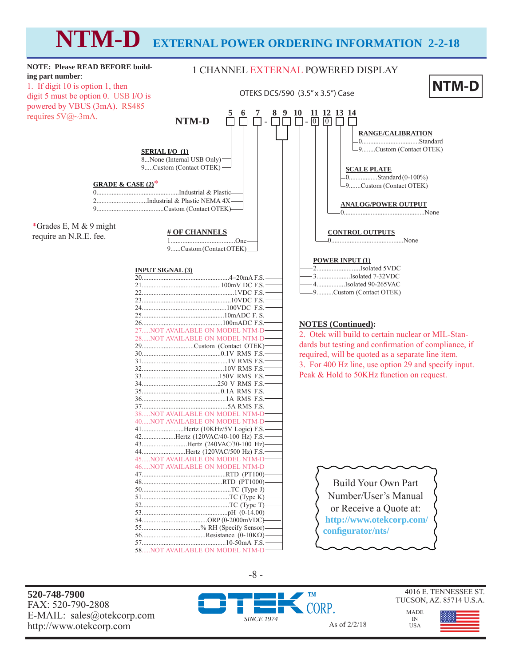# **NTM-D EXTERNAL POWER ORDERING INFORMATION 2-2-18**



**520-748-7900** FAX: 520-790-2808 E-MAIL: sales@otekcorp.com http://www.otekcorp.com As of 2/2/18

-8 -





MADE

IN USA